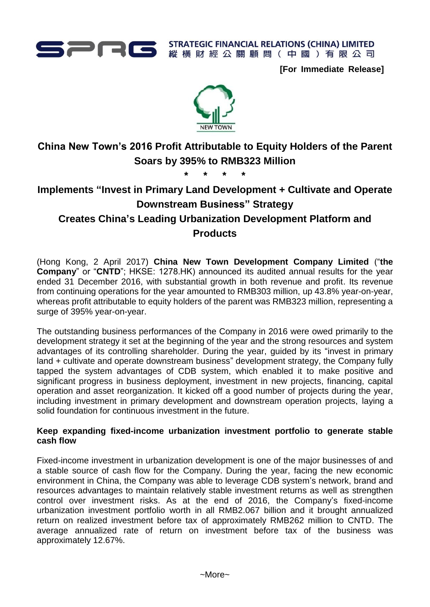

**STRATEGIC FINANCIAL RELATIONS (CHINA) LIMITED** 縱橫財經公關顧問(中國)有限公司

**[For Immediate Release]**



# **China New Town's 2016 Profit Attributable to Equity Holders of the Parent Soars by 395% to RMB323 Million**

**\* \* \* \***

## **Implements "Invest in Primary Land Development + Cultivate and Operate Downstream Business" Strategy Creates China's Leading Urbanization Development Platform and Products**

(Hong Kong, 2 April 2017) **China New Town Development Company Limited** ("**the Company**" or "CNTD"; HKSE: 1278.HK) announced its audited annual results for the year ended 31 December 2016, with substantial growth in both revenue and profit. Its revenue from continuing operations for the year amounted to RMB303 million, up 43.8% year-on-year, whereas profit attributable to equity holders of the parent was RMB323 million, representing a surge of 395% year-on-year.

The outstanding business performances of the Company in 2016 were owed primarily to the development strategy it set at the beginning of the year and the strong resources and system advantages of its controlling shareholder. During the year, guided by its "invest in primary land + cultivate and operate downstream business" development strategy, the Company fully tapped the system advantages of CDB system, which enabled it to make positive and significant progress in business deployment, investment in new projects, financing, capital operation and asset reorganization. It kicked off a good number of projects during the year, including investment in primary development and downstream operation projects, laying a solid foundation for continuous investment in the future.

## **Keep expanding fixed-income urbanization investment portfolio to generate stable cash flow**

Fixed-income investment in urbanization development is one of the major businesses of and a stable source of cash flow for the Company. During the year, facing the new economic environment in China, the Company was able to leverage CDB system's network, brand and resources advantages to maintain relatively stable investment returns as well as strengthen control over investment risks. As at the end of 2016, the Company's fixed-income urbanization investment portfolio worth in all RMB2.067 billion and it brought annualized return on realized investment before tax of approximately RMB262 million to CNTD. The average annualized rate of return on investment before tax of the business was approximately 12.67%.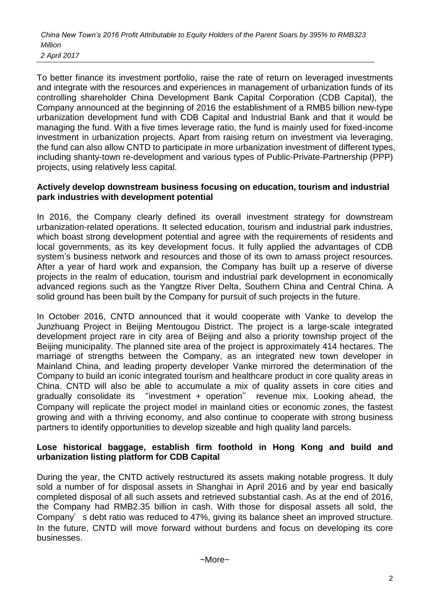*China New Town's 2016 Profit Attributable to Equity Holders of the Parent Soars by 395% to RMB323 Million 2 April 2017*

To better finance its investment portfolio, raise the rate of return on leveraged investments and integrate with the resources and experiences in management of urbanization funds of its controlling shareholder China Development Bank Capital Corporation (CDB Capital), the Company announced at the beginning of 2016 the establishment of a RMB5 billion new-type urbanization development fund with CDB Capital and Industrial Bank and that it would be managing the fund. With a five times leverage ratio, the fund is mainly used for fixed-income investment in urbanization projects. Apart from raising return on investment via leveraging, the fund can also allow CNTD to participate in more urbanization investment of different types, including shanty-town re-development and various types of Public-Private-Partnership (PPP) projects, using relatively less capital.

#### **Actively develop downstream business focusing on education, tourism and industrial park industries with development potential**

In 2016, the Company clearly defined its overall investment strategy for downstream urbanization-related operations. It selected education, tourism and industrial park industries, which boast strong development potential and agree with the requirements of residents and local governments, as its key development focus. It fully applied the advantages of CDB system's business network and resources and those of its own to amass project resources. After a year of hard work and expansion, the Company has built up a reserve of diverse projects in the realm of education, tourism and industrial park development in economically advanced regions such as the Yangtze River Delta, Southern China and Central China. A solid ground has been built by the Company for pursuit of such projects in the future.

In October 2016, CNTD announced that it would cooperate with Vanke to develop the Junzhuang Project in Beijing Mentougou District. The project is a large-scale integrated development project rare in city area of Beijing and also a priority township project of the Beijing municipality. The planned site area of the project is approximately 414 hectares. The marriage of strengths between the Company, as an integrated new town developer in Mainland China, and leading property developer Vanke mirrored the determination of the Company to build an iconic integrated tourism and healthcare product in core quality areas in China. CNTD will also be able to accumulate a mix of quality assets in core cities and gradually consolidate its "investment + operation" revenue mix. Looking ahead, the Company will replicate the project model in mainland cities or economic zones, the fastest growing and with a thriving economy, and also continue to cooperate with strong business partners to identify opportunities to develop sizeable and high quality land parcels.

#### **Lose historical baggage, establish firm foothold in Hong Kong and build and urbanization listing platform for CDB Capital**

During the year, the CNTD actively restructured its assets making notable progress. It duly sold a number of for disposal assets in Shanghai in April 2016 and by year end basically completed disposal of all such assets and retrieved substantial cash. As at the end of 2016, the Company had RMB2.35 billion in cash. With those for disposal assets all sold, the Company's debt ratio was reduced to 47%, giving its balance sheet an improved structure. In the future, CNTD will move forward without burdens and focus on developing its core businesses.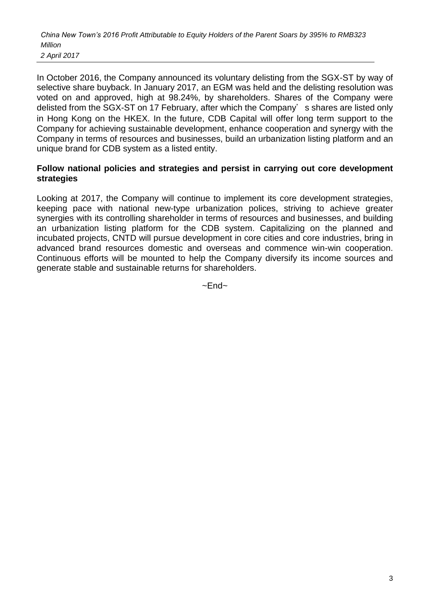*China New Town's 2016 Profit Attributable to Equity Holders of the Parent Soars by 395% to RMB323 Million*

*2 April 2017*

In October 2016, the Company announced its voluntary delisting from the SGX-ST by way of selective share buyback. In January 2017, an EGM was held and the delisting resolution was voted on and approved, high at 98.24%, by shareholders. Shares of the Company were delisted from the SGX-ST on 17 February, after which the Company's shares are listed only in Hong Kong on the HKEX. In the future, CDB Capital will offer long term support to the Company for achieving sustainable development, enhance cooperation and synergy with the Company in terms of resources and businesses, build an urbanization listing platform and an unique brand for CDB system as a listed entity.

### **Follow national policies and strategies and persist in carrying out core development strategies**

Looking at 2017, the Company will continue to implement its core development strategies, keeping pace with national new-type urbanization polices, striving to achieve greater synergies with its controlling shareholder in terms of resources and businesses, and building an urbanization listing platform for the CDB system. Capitalizing on the planned and incubated projects, CNTD will pursue development in core cities and core industries, bring in advanced brand resources domestic and overseas and commence win-win cooperation. Continuous efforts will be mounted to help the Company diversify its income sources and generate stable and sustainable returns for shareholders.

 $~\sim$ Fnd $~\sim$